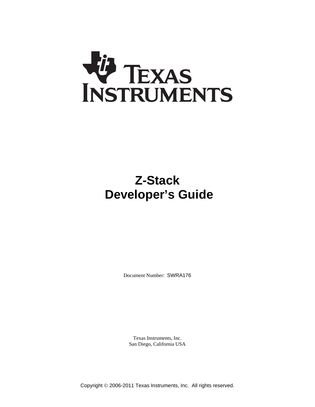

# **Z-Stack Developer's Guide**

Document Number: SWRA176

Texas Instruments, Inc. San Diego, California USA

Copyright © 2006-2011 Texas Instruments, Inc. All rights reserved.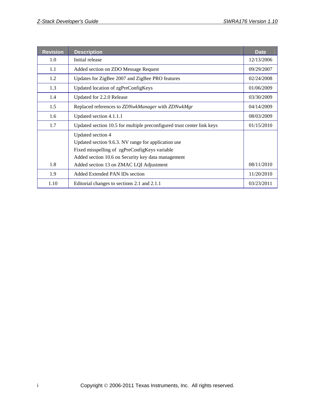| <b>Revision</b>                                    | <b>Description</b>                                                                   |            |  |
|----------------------------------------------------|--------------------------------------------------------------------------------------|------------|--|
| 1.0                                                | Initial release                                                                      | 12/13/2006 |  |
| 1.1                                                | Added section on ZDO Message Request                                                 | 09/29/2007 |  |
| 1.2                                                | Updates for ZigBee 2007 and ZigBee PRO features                                      | 02/24/2008 |  |
| 1.3                                                | Updated location of zgPreConfigKeys                                                  | 01/06/2009 |  |
| 1.4                                                | Updated for 2.2.0 Release                                                            | 03/30/2009 |  |
| 1.5                                                | Replaced references to ZDNwkManager with ZDNwkMgr                                    | 04/14/2009 |  |
| 1.6                                                | Updated section 4.1.1.1<br>08/03/2009                                                |            |  |
| 1.7                                                | Updated section 10.5 for multiple preconfigured trust center link keys<br>01/15/2010 |            |  |
|                                                    | Updated section 4                                                                    |            |  |
|                                                    | Updated section 9.6.3. NV range for application use                                  |            |  |
| Fixed misspelling of zgPreConfigKeys variable      |                                                                                      |            |  |
| Added section 10.6 on Security key data management |                                                                                      |            |  |
| 1.8                                                | Added section 13 on ZMAC LQI Adjustment                                              | 08/11/2010 |  |
| 1.9                                                | Added Extended PAN IDs section                                                       | 11/20/2010 |  |
| 1.10                                               | Editorial changes to sections 2.1 and 2.1.1                                          | 03/23/2011 |  |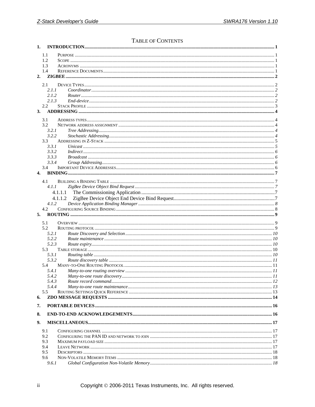# TABLE OF CONTENTS

| 1.               |               |         |    |
|------------------|---------------|---------|----|
|                  | 1.1           |         |    |
|                  | 1.2           |         |    |
|                  | 1.3           |         |    |
|                  | 1.4           |         |    |
| $\overline{2}$ . |               |         |    |
|                  |               |         |    |
|                  | 2.1           |         |    |
|                  | 2.1.1         |         |    |
|                  | 2.1.2         |         |    |
|                  | 2.1.3         |         |    |
| 3.               | $2.2^{\circ}$ |         |    |
|                  |               |         |    |
|                  | 3.1           |         |    |
|                  | 3.2           |         |    |
|                  | 3.2.1         |         |    |
|                  | 3.2.2         |         |    |
|                  | 3.3           |         |    |
|                  | 3.3.1         |         |    |
|                  | 3.3.2         |         |    |
|                  | 3.3.3         |         |    |
|                  | 3.3.4         |         |    |
|                  | 3.4           |         |    |
| 4.               |               |         |    |
|                  | 4.1           |         |    |
|                  | 4.1.1         |         |    |
|                  |               |         |    |
|                  |               | 4.1.1.2 |    |
|                  | 4.1.2         |         |    |
|                  | 4.2           |         |    |
| 5.               |               |         |    |
|                  | 5.1           |         |    |
|                  | 5.2           |         |    |
|                  | 5.2.1         |         |    |
|                  | 5.2.2         |         |    |
|                  | 5.2.3         |         |    |
|                  | 5.3           |         |    |
|                  | 5.3.1         |         |    |
|                  | 5.3.2         |         |    |
|                  | 5.4           |         |    |
|                  | 5.4.1         |         |    |
|                  | 5.4.2         |         | 11 |
|                  | 5.4.3         |         |    |
|                  | 5.4.4         |         |    |
|                  | 5.5           |         |    |
| 6.               |               |         |    |
| 7.               |               |         |    |
|                  |               |         |    |
| 8.               |               |         |    |
| 9.               |               |         |    |
|                  | 9.1           |         |    |
|                  | 9.2           |         |    |
|                  | 9.3           |         |    |
|                  | 9.4           |         |    |
|                  | 9.5           |         |    |
|                  | 9.6           |         |    |
|                  | 9.6.1         |         |    |
|                  |               |         |    |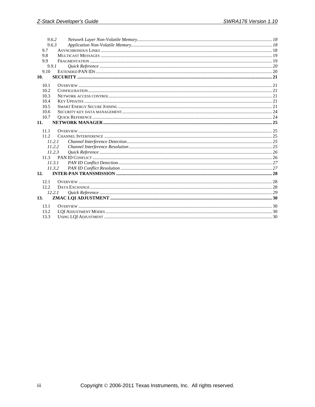|       | 9.6.2  |  |
|-------|--------|--|
|       | 9.6.3  |  |
| 9.7   |        |  |
| 9.8   |        |  |
| 9.9   |        |  |
|       | 9.9.1  |  |
| 9.10  |        |  |
| 10.   |        |  |
| 10.1  |        |  |
| 10.2  |        |  |
| 10.3  |        |  |
| 10.4  |        |  |
| 10.5  |        |  |
| 10.6  |        |  |
| 10.7  |        |  |
| 11.   |        |  |
| 11.1  |        |  |
| 11.2. |        |  |
|       | 11.2.1 |  |
|       | 11.2.2 |  |
|       | 11.2.3 |  |
| 11.3  |        |  |
|       | 11.3.1 |  |
|       | 11.3.2 |  |
| 12.   |        |  |
| 12.1  |        |  |
| 12.2. |        |  |
|       | 12.2.1 |  |
| 13.   |        |  |
| 13.1  |        |  |
| 13.2  |        |  |
| 13.3  |        |  |
|       |        |  |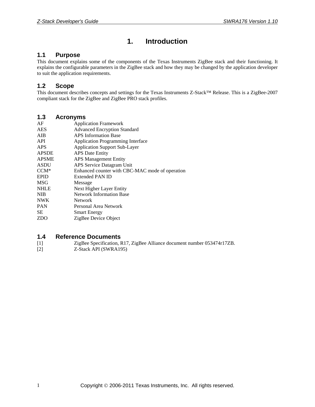# **1. Introduction**

### <span id="page-4-1"></span><span id="page-4-0"></span>**1.1 Purpose**

This document explains some of the components of the Texas Instruments ZigBee stack and their functioning. It explains the configurable parameters in the ZigBee stack and how they may be changed by the application developer to suit the application requirements.

### <span id="page-4-2"></span>**1.2 Scope**

This document describes concepts and settings for the Texas Instruments Z-Stack™ Release. This is a ZigBee-2007 compliant stack for the ZigBee and ZigBee PRO stack profiles.

### <span id="page-4-3"></span>**1.3 Acronyms**

| AF           | <b>Application Framework</b>                    |
|--------------|-------------------------------------------------|
| <b>AES</b>   | <b>Advanced Encryption Standard</b>             |
| AIB          | <b>APS</b> Information Base                     |
| API          | <b>Application Programming Interface</b>        |
| APS          | <b>Application Support Sub-Layer</b>            |
| <b>APSDE</b> | <b>APS</b> Date Entity                          |
| <b>APSME</b> | <b>APS Management Entity</b>                    |
| <b>ASDU</b>  | APS Service Datagram Unit                       |
| $CCM*$       | Enhanced counter with CBC-MAC mode of operation |
| <b>EPID</b>  | Extended PAN ID                                 |
| <b>MSG</b>   | Message                                         |
| <b>NHLE</b>  | Next Higher Layer Entity                        |
| <b>NIB</b>   | <b>Network Information Base</b>                 |
| <b>NWK</b>   | <b>Network</b>                                  |
| <b>PAN</b>   | Personal Area Network                           |
| SЕ           | <b>Smart Energy</b>                             |
| <b>ZDO</b>   | ZigBee Device Object                            |
|              |                                                 |

#### <span id="page-4-4"></span>**1.4 Reference Documents**

- [1] ZigBee Specification, R17, ZigBee Alliance document number 053474r17ZB.
- [2] Z-Stack API (SWRA195)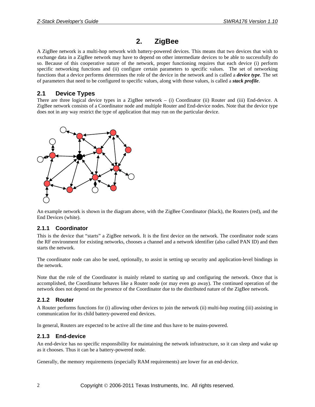# **2. ZigBee**

<span id="page-5-0"></span>A ZigBee network is a multi-hop network with battery-powered devices. This means that two devices that wish to exchange data in a ZigBee network may have to depend on other intermediate devices to be able to successfully do so. Because of this cooperative nature of the network, proper functioning requires that each device (i) perform specific networking functions and (ii) configure certain parameters to specific values. The set of networking functions that a device performs determines the role of the device in the network and is called a *device type*. The set of parameters that need to be configured to specific values, along with those values, is called a *stack profile*.

# <span id="page-5-1"></span>**2.1 Device Types**

There are three logical device types in a ZigBee network – (i) Coordinator (ii) Router and (iii) End-device. A ZigBee network consists of a Coordinator node and multiple Router and End-device nodes. Note that the device type does not in any way restrict the type of application that may run on the particular device.



An example network is shown in the diagram above, with the ZigBee Coordinator (black), the Routers (red), and the End Devices (white).

### <span id="page-5-2"></span>**2.1.1 Coordinator**

This is the device that "starts" a ZigBee network. It is the first device on the network. The coordinator node scans the RF environment for existing networks, chooses a channel and a network identifier (also called PAN ID) and then starts the network.

The coordinator node can also be used, optionally, to assist in setting up security and application-level bindings in the network.

Note that the role of the Coordinator is mainly related to starting up and configuring the network. Once that is accomplished, the Coordinator behaves like a Router node (or may even go away). The continued operation of the network does not depend on the presence of the Coordinator due to the distributed nature of the ZigBee network.

### <span id="page-5-3"></span>**2.1.2 Router**

A Router performs functions for (i) allowing other devices to join the network (ii) multi-hop routing (iii) assisting in communication for its child battery-powered end devices.

In general, Routers are expected to be active all the time and thus have to be mains-powered.

### <span id="page-5-4"></span>**2.1.3 End-device**

An end-device has no specific responsibility for maintaining the network infrastructure, so it can sleep and wake up as it chooses. Thus it can be a battery-powered node.

Generally, the memory requirements (especially RAM requirements) are lower for an end-device.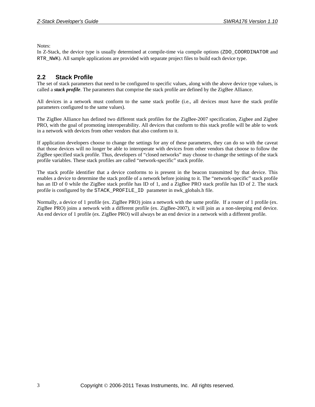Notes:

In Z-Stack, the device type is usually determined at compile-time via compile options (ZDO\_COORDINATOR and RTR\_NWK). All sample applications are provided with separate project files to build each device type.

### <span id="page-6-0"></span>**2.2 Stack Profile**

The set of stack parameters that need to be configured to specific values, along with the above device type values, is called a *stack profile*. The parameters that comprise the stack profile are defined by the ZigBee Alliance.

All devices in a network must conform to the same stack profile (i.e., all devices must have the stack profile parameters configured to the same values).

The ZigBee Alliance has defined two different stack profiles for the ZigBee-2007 specification, Zigbee and Zigbee PRO, with the goal of promoting interoperability. All devices that conform to this stack profile will be able to work in a network with devices from other vendors that also conform to it.

If application developers choose to change the settings for any of these parameters, they can do so with the caveat that those devices will no longer be able to interoperate with devices from other vendors that choose to follow the ZigBee specified stack profile. Thus, developers of "closed networks" may choose to change the settings of the stack profile variables. These stack profiles are called "network-specific" stack profile.

The stack profile identifier that a device conforms to is present in the beacon transmitted by that device. This enables a device to determine the stack profile of a network before joining to it. The "network-specific" stack profile has an ID of 0 while the ZigBee stack profile has ID of 1, and a ZigBee PRO stack profile has ID of 2. The stack profile is configured by the STACK\_PROFILE\_ID parameter in nwk\_globals.h file.

Normally, a device of 1 profile (ex. ZigBee PRO) joins a network with the same profile. If a router of 1 profile (ex. ZigBee PRO) joins a network with a different profile (ex. ZigBee-2007), it will join as a non-sleeping end device. An end device of 1 profile (ex. ZigBee PRO) will always be an end device in a network with a different profile.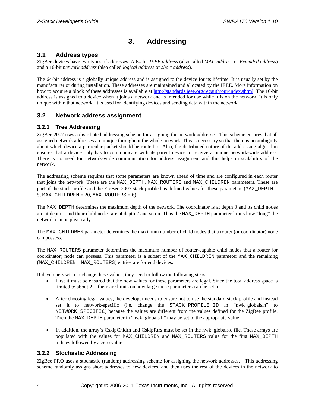# **3. Addressing**

# <span id="page-7-1"></span><span id="page-7-0"></span>**3.1 Address types**

ZigBee devices have two types of addresses. A 64-bit *IEEE address* (also called *MAC address* or *Extended address*) and a 16-bit *network address* (also called *logical address* or *short address*).

The 64-bit address is a globally unique address and is assigned to the device for its lifetime. It is usually set by the manufacturer or during installation. These addresses are maintained and allocated by the IEEE. More information on how to acquire a block of these addresses is available at [http://standards.ieee.org/regauth/oui/index.shtml.](http://standards.ieee.org/regauth/oui/index.shtml) The 16-bit address is assigned to a device when it joins a network and is intended for use while it is on the network. It is only unique within that network. It is used for identifying devices and sending data within the network.

# <span id="page-7-2"></span>**3.2 Network address assignment**

### <span id="page-7-3"></span>**3.2.1 Tree Addressing**

ZigBee 2007 uses a distributed addressing scheme for assigning the network addresses. This scheme ensures that all assigned network addresses are unique throughout the whole network. This is necessary so that there is no ambiguity about which device a particular packet should be routed to. Also, the distributed nature of the addressing algorithm ensures that a device only has to communicate with its parent device to receive a unique network-wide address. There is no need for network-wide communication for address assignment and this helps in scalability of the network.

The addressing scheme requires that some parameters are known ahead of time and are configured in each router that joins the network. These are the MAX\_DEPTH, MAX\_ROUTERS and MAX\_CHILDREN parameters. These are part of the stack profile and the ZigBee-2007 stack profile has defined values for these parameters (MAX\_DEPTH = 5, MAX CHILDREN = 20, MAX ROUTERS = 6).

The MAX\_DEPTH determines the maximum depth of the network. The coordinator is at depth 0 and its child nodes are at depth 1 and their child nodes are at depth 2 and so on. Thus the MAX\_DEPTH parameter limits how "long" the network can be physically.

The MAX\_CHILDREN parameter determines the maximum number of child nodes that a router (or coordinator) node can possess.

The MAX\_ROUTERS parameter determines the maximum number of router-capable child nodes that a router (or coordinator) node can possess. This parameter is a subset of the MAX\_CHILDREN parameter and the remaining (MAX\_CHILDREN – MAX\_ROUTERS) entries are for end devices.

If developers wish to change these values, they need to follow the following steps:

- First it must be ensured that the new values for these parameters are legal. Since the total address space is limited to about  $2^{16}$ , there are limits on how large these parameters can be set to.
- After choosing legal values, the developer needs to ensure not to use the standard stack profile and instead set it to network-specific (i.e. change the STACK\_PROFILE\_ID in "nwk\_globals.h" to NETWORK\_SPECIFIC) because the values are different from the values defined for the ZigBee profile. Then the MAX\_DEPTH parameter in "nwk\_globals.h" may be set to the appropriate value.
- In addition, the array's CskipChldrn and CskipRtrs must be set in the nwk\_globals.c file. These arrays are populated with the values for MAX\_CHILDREN and MAX\_ROUTERS value for the first MAX\_DEPTH indices followed by a zero value.

### <span id="page-7-4"></span>**3.2.2 Stochastic Addressing**

ZigBee PRO uses a stochastic (random) addressing scheme for assigning the network addresses. This addressing scheme randomly assigns short addresses to new devices, and then uses the rest of the devices in the network to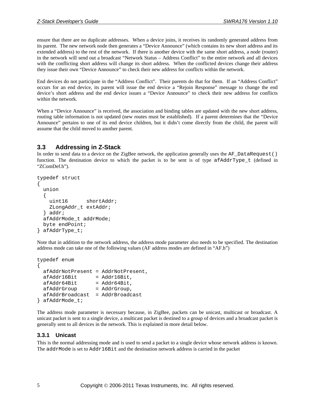ensure that there are no duplicate addresses. When a device joins, it receives its randomly generated address from its parent. The new network node then generates a "Device Announce" (which contains its new short address and its extended address) to the rest of the network. If there is another device with the same short address, a node (router) in the network will send out a broadcast "Network Status – Address Conflict" to the entire network and all devices with the conflicting short address will change its short address. When the conflicted devices change their address they issue their own "Device Announce" to check their new address for conflicts within the network.

End devices do not participate in the "Address Conflict". Their parents do that for them. If an "Address Conflict" occurs for an end device, its parent will issue the end device a "Rejoin Response" message to change the end device's short address and the end device issues a "Device Announce" to check their new address for conflicts within the network.

When a "Device Announce" is received, the association and binding tables are updated with the new short address, routing table information is not updated (new routes must be established). If a parent determines that the "Device Announce" pertains to one of its end device children, but it didn't come directly from the child, the parent will assume that the child moved to another parent.

# <span id="page-8-0"></span>**3.3 Addressing in Z-Stack**

In order to send data to a device on the ZigBee network, the application generally uses the AF\_DataRequest() function. The destination device to which the packet is to be sent is of type afAddrType t (defined in "ZComDef.h").

```
typedef struct 
{ 
   union 
   { 
     uint16 shortAddr; 
     ZLongAddr_t extAddr; 
   } addr; 
   afAddrMode_t addrMode; 
   byte endPoint; 
} afAddrType_t;
```
Note that in addition to the network address, the address mode parameter also needs to be specified. The destination address mode can take one of the following values (AF address modes are defined in "AF.h")

```
typedef enum 
{ 
  afAddrNotPresent = AddrNotPresent, 
 afAddr16Bit = Addr16Bit,afAddr64Bit = Addr64Bit,afAddrGroup = AddrGroup,
  afAddrBroadcast = AddrBroadcast 
} afAddrMode_t;
```
The address mode parameter is necessary because, in ZigBee, packets can be unicast, multicast or broadcast. A unicast packet is sent to a single device, a multicast packet is destined to a group of devices and a broadcast packet is generally sent to all devices in the network. This is explained in more detail below.

#### <span id="page-8-1"></span>**3.3.1 Unicast**

This is the normal addressing mode and is used to send a packet to a single device whose network address is known. The addrMode is set to Addr16Bit and the destination network address is carried in the packet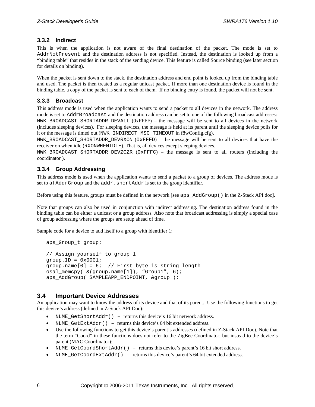#### <span id="page-9-0"></span>**3.3.2 Indirect**

This is when the application is not aware of the final destination of the packet. The mode is set to AddrNotPresent and the destination address is not specified. Instead, the destination is looked up from a "binding table" that resides in the stack of the sending device. This feature is called Source binding (see later section for details on binding).

When the packet is sent down to the stack, the destination address and end point is looked up from the binding table and used. The packet is then treated as a regular unicast packet. If more than one destination device is found in the binding table, a copy of the packet is sent to each of them. If no binding entry is found, the packet will not be sent.

### <span id="page-9-1"></span>**3.3.3 Broadcast**

This address mode is used when the application wants to send a packet to all devices in the network. The address mode is set to AddrBroadcast and the destination address can be set to one of the following broadcast addresses: NWK\_BROADCAST\_SHORTADDR\_DEVALL  $(0x$ FFFF $)$  – the message will be sent to all devices in the network (includes sleeping devices). For sleeping devices, the message is held at its parent until the sleeping device polls for it or the message is timed out (NWK\_INDIRECT\_MSG\_TIMEOUT in f8wConfig.cfg).

NWK\_BROADCAST\_SHORTADDR\_DEVRXON  $(0xFFFD)$  – the message will be sent to all devices that have the receiver on when idle (RXONWHENIDLE). That is, all devices except sleeping devices.

NWK BROADCAST SHORTADDR DEVZCZR  $(0xFFFC)$  – the message is sent to all routers (including the coordinator ).

### <span id="page-9-2"></span>**3.3.4 Group Addressing**

This address mode is used when the application wants to send a packet to a group of devices. The address mode is set to afAddrGroup and the addr.shortAddr is set to the group identifier.

Before using this feature, groups must be defined in the network [see aps\_AddGroup() in the Z-Stack API doc].

Note that groups can also be used in conjunction with indirect addressing. The destination address found in the binding table can be either a unicast or a group address. Also note that broadcast addressing is simply a special case of group addressing where the groups are setup ahead of time.

Sample code for a device to add itself to a group with identifier 1:

```
 aps_Group_t group;
```

```
 // Assign yourself to group 1 
group.ID = 0x0001; group.name[0] = 6; // First byte is string length 
 osal_memcpy( &(group.name[1]), "Group1", 6); 
 aps_AddGroup( SAMPLEAPP_ENDPOINT, &group );
```
### <span id="page-9-3"></span>**3.4 Important Device Addresses**

An application may want to know the address of its device and that of its parent. Use the following functions to get this device's address (defined in Z-Stack API Doc):

- NLME\_GetShortAddr() returns this device's 16 bit network address.
- NLME GetExtAddr() returns this device's 64 bit extended address.
- Use the following functions to get this device's parent's addresses (defined in Z-Stack API Doc). Note that the term "Coord" in these functions does not refer to the ZigBee Coordinator, but instead to the device's parent (MAC Coordinator):
- NLME\_GetCoordShortAddr() returns this device's parent's 16 bit short address.
- NLME\_GetCoordExtAddr() returns this device's parent's 64 bit extended address.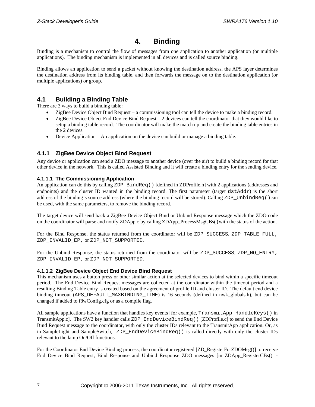# **4. Binding**

<span id="page-10-0"></span>Binding is a mechanism to control the flow of messages from one application to another application (or multiple applications). The binding mechanism is implemented in all devices and is called source binding.

Binding allows an application to send a packet without knowing the destination address, the APS layer determines the destination address from its binding table, and then forwards the message on to the destination application (or multiple applications) or group.

# <span id="page-10-1"></span>**4.1 Building a Binding Table**

There are 3 ways to build a binding table:

- ZigBee Device Object Bind Request a commissioning tool can tell the device to make a binding record.
- ZigBee Device Object End Device Bind Request 2 devices can tell the coordinator that they would like to setup a binding table record. The coordinator will make the match up and create the binding table entries in the 2 devices.
- Device Application An application on the device can build or manage a binding table.

### <span id="page-10-2"></span>**4.1.1 ZigBee Device Object Bind Request**

Any device or application can send a ZDO message to another device (over the air) to build a binding record for that other device in the network. This is called Assisted Binding and it will create a binding entry for the sending device.

#### <span id="page-10-3"></span>**4.1.1.1 The Commissioning Application**

An application can do this by calling ZDP\_BindReq() [defined in ZDProfile.h] with 2 applications (addresses and endpoints) and the cluster ID wanted in the binding record. The first parameter (target dstAddr) is the short address of the binding's source address (where the binding record will be stored). Calling ZDP\_UnbindReq()can be used, with the same parameters, to remove the binding record.

The target device will send back a ZigBee Device Object Bind or Unbind Response message which the ZDO code on the coordinator will parse and notify ZDApp.c by calling ZDApp\_ProcessMsgCBs() with the status of the action.

For the Bind Response, the status returned from the coordinator will be ZDP\_SUCCESS, ZDP\_TABLE\_FULL, ZDP\_INVALID\_EP, or ZDP\_NOT\_SUPPORTED.

For the Unbind Response, the status returned from the coordinator will be ZDP\_SUCCESS, ZDP\_NO\_ENTRY, ZDP\_INVALID\_EP, or ZDP\_NOT\_SUPPORTED.

#### <span id="page-10-4"></span>**4.1.1.2 ZigBee Device Object End Device Bind Request**

This mechanism uses a button press or other similar action at the selected devices to bind within a specific timeout period. The End Device Bind Request messages are collected at the coordinator within the timeout period and a resulting Binding Table entry is created based on the agreement of profile ID and cluster ID. The default end device binding timeout (APS\_DEFAULT\_MAXBINDING\_TIME) is 16 seconds (defined in nwk\_globals.h), but can be changed if added to f8wConfig.cfg or as a compile flag.

All sample applications have a function that handles key events [for example, TransmitApp\_HandleKeys() in TransmitApp.c]. The SW2 key handler calls ZDP\_EndDeviceBindReq() [ZDProfile.c] to send the End Device Bind Request message to the coordinator, with only the cluster IDs relevant to the TransmitApp application. Or, as in SampleLight and SampleSwitch, ZDP\_EndDeviceBindReq() is called directly with only the cluster IDs relevant to the lamp On/Off functions.

For the Coordinator End Device Binding process, the coordinator registered [ZD\_RegisterForZDOMsg()] to receive End Device Bind Request, Bind Response and Unbind Response ZDO messages [in ZDApp\_RegisterCBs() -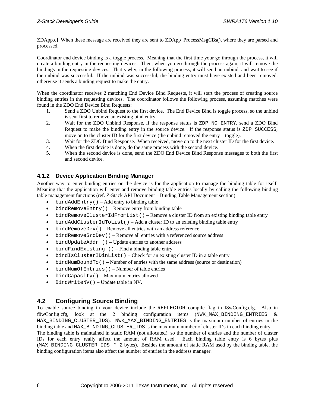ZDApp.c] When these message are received they are sent to ZDApp\_ProcessMsgCBs(), where they are parsed and processed.

Coordinator end device binding is a toggle process. Meaning that the first time your go through the process, it will create a binding entry in the requesting devices. Then, when you go through the process again, it will remove the bindings in the requesting devices. That's why, in the following process, it will send an unbind, and wait to see if the unbind was successful. If the unbind was successful, the binding entry must have existed and been removed, otherwise it sends a binding request to make the entry.

When the coordinator receives 2 matching End Device Bind Requests, it will start the process of creating source binding entries in the requesting devices. The coordinator follows the following process, assuming matches were found in the ZDO End Device Bind Requests:

- 1. Send a ZDO Unbind Request to the first device. The End Device Bind is toggle process, so the unbind is sent first to remove an existing bind entry.
- 2. Wait for the ZDO Unbind Response, if the response status is ZDP\_NO\_ENTRY, send a ZDO Bind Request to make the binding entry in the source device. If the response status is ZDP\_SUCCESS, move on to the cluster ID for the first device (the unbind removed the entry – toggle).
- 3. Wait for the ZDO Bind Response. When received, move on to the next cluster ID for the first device.
- 4. When the first device is done, do the same process with the second device.
- 5. When the second device is done, send the ZDO End Device Bind Response messages to both the first and second device.

# <span id="page-11-0"></span>**4.1.2 Device Application Binding Manager**

Another way to enter binding entries on the device is for the application to manage the binding table for itself. Meaning that the application will enter and remove binding table entries locally by calling the following binding table management functions (ref. Z-Stack API Document – Binding Table Management section):

- bind $AddEntry() Add entry to binding table$
- $\bullet$  bindRemoveEntry() Remove entry from binding table
- bindRemoveClusterIdFromList() Remove a cluster ID from an existing binding table entry
- $\bullet$  bindAddClusterIdToList() Add a cluster ID to an existing binding table entry
- bindRemoveDev() Remove all entries with an address reference
- bindRemoveSrcDev() Remove all entries with a referenced source address
- $\bullet$  bindUpdateAddr () Update entries to another address
- bindFindExisting () Find a binding table entry
- $\bullet$  bindIsClusterIDinList() Check for an existing cluster ID in a table entry
- bindNumBoundTo() Number of entries with the same address (source or destination)
- bindNumOfEntries() Number of table entries
- $\bullet$  bindCapacity() Maximum entries allowed
- BindWriteNV() Update table in NV.

# <span id="page-11-1"></span>**4.2 Configuring Source Binding**

To enable source binding in your device include the REFLECTOR compile flag in f8wConfig.cfg. Also in f8wConfig.cfg, look at the 2 binding configuration items (NWK\_MAX\_BINDING\_ENTRIES & MAX\_BINDING\_CLUSTER\_IDS). NWK\_MAX\_BINDING\_ENTRIES is the maximum number of entries in the binding table and MAX\_BINDING\_CLUSTER\_IDS is the maximum number of cluster IDs in each binding entry.

The binding table is maintained in static RAM (not allocated), so the number of entries and the number of cluster IDs for each entry really affect the amount of RAM used. Each binding table entry is 6 bytes plus (MAX\_BINDING\_CLUSTER\_IDS \* 2 bytes). Besides the amount of static RAM used by the binding table, the binding configuration items also affect the number of entries in the address manager.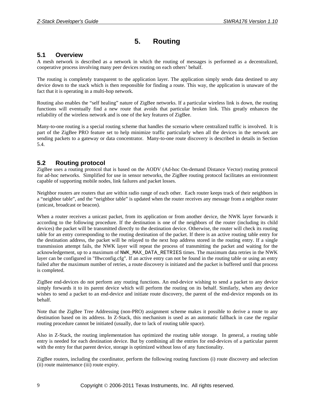# **5. Routing**

### <span id="page-12-1"></span><span id="page-12-0"></span>**5.1 Overview**

A mesh network is described as a network in which the routing of messages is performed as a decentralized, cooperative process involving many peer devices routing on each others' behalf.

The routing is completely transparent to the application layer. The application simply sends data destined to any device down to the stack which is then responsible for finding a route. This way, the application is unaware of the fact that it is operating in a multi-hop network.

Routing also enables the "self healing" nature of ZigBee networks. If a particular wireless link is down, the routing functions will eventually find a new route that avoids that particular broken link. This greatly enhances the reliability of the wireless network and is one of the key features of ZigBee.

Many-to-one routing is a special routing scheme that handles the scenario where centralized traffic is involved. It is part of the ZigBee PRO feature set to help minimize traffic particularly when all the devices in the network are sending packets to a gateway or data concentrator. Many-to-one route discovery is described in details in Section [5.4.](#page-14-1)

### <span id="page-12-2"></span>**5.2 Routing protocol**

ZigBee uses a routing protocol that is based on the AODV (Ad-hoc On-demand Distance Vector) routing protocol for ad-hoc networks. Simplified for use in sensor networks, the ZigBee routing protocol facilitates an environment capable of supporting mobile nodes, link failures and packet losses.

Neighbor routers are routers that are within radio range of each other. Each router keeps track of their neighbors in a "neighbor table", and the "neighbor table" is updated when the router receives any message from a neighbor router (unicast, broadcast or beacon).

When a router receives a unicast packet, from its application or from another device, the NWK layer forwards it according to the following procedure. If the destination is one of the neighbors of the router (including its child devices) the packet will be transmitted directly to the destination device. Otherwise, the router will check its routing table for an entry corresponding to the routing destination of the packet. If there is an active routing table entry for the destination address, the packet will be relayed to the next hop address stored in the routing entry. If a single transmission attempt fails, the NWK layer will repeat the process of transmitting the packet and waiting for the acknowledgement, up to a maximum of NWK\_MAX\_DATA\_RETRIES times. The maximum data retries in the NWK layer can be configured in "f8wconfig.cfg". If an active entry can not be found in the routing table or using an entry failed after the maximum number of retries, a route discovery is initiated and the packet is buffered until that process is completed.

ZigBee end-devices do not perform any routing functions. An end-device wishing to send a packet to any device simply forwards it to its parent device which will perform the routing on its behalf. Similarly, when any device wishes to send a packet to an end-device and initiate route discovery, the parent of the end-device responds on its behalf.

Note that the ZigBee Tree Addressing (non-PRO) assignment scheme makes it possible to derive a route to any destination based on its address. In Z-Stack, this mechanism is used as an automatic fallback in case the regular routing procedure cannot be initiated (usually, due to lack of routing table space).

Also in Z-Stack, the routing implementation has optimized the routing table storage. In general, a routing table entry is needed for each destination device. But by combining all the entries for end-devices of a particular parent with the entry for that parent device, storage is optimized without loss of any functionality.

ZigBee routers, including the coordinator, perform the following routing functions (i) route discovery and selection (ii) route maintenance (iii) route expiry.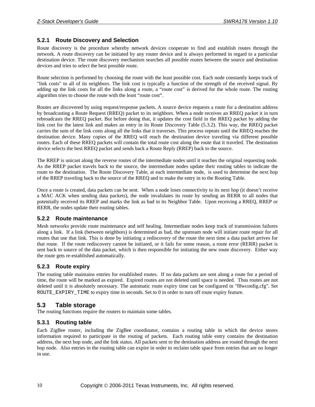### <span id="page-13-0"></span>**5.2.1 Route Discovery and Selection**

Route discovery is the procedure whereby network devices cooperate to find and establish routes through the network. A route discovery can be initiated by any router device and is always performed in regard to a particular destination device. The route discovery mechanism searches all possible routes between the source and destination devices and tries to select the best possible route.

Route selection is performed by choosing the route with the least possible cost. Each node constantly keeps track of "link costs" to all of its neighbors. The link cost is typically a function of the strength of the received signal. By adding up the link costs for all the links along a route, a "route cost" is derived for the whole route. The routing algorithm tries to choose the route with the least "route cost".

Routes are discovered by using request/response packets. A source device requests a route for a destination address by broadcasting a Route Request (RREQ) packet to its neighbors. When a node receives an RREQ packet it in turn rebroadcasts the RREQ packet. But before doing that, it updates the cost field in the RREQ packet by adding the link cost for the latest link and makes an entry in its Route Discovery Table ([5.3.2\)](#page-14-0). This way, the RREQ packet carries the sum of the link costs along all the links that it traverses. This process repeats until the RREQ reaches the destination device. Many copies of the RREQ will reach the destination device traveling via different possible routes. Each of these RREQ packets will contain the total route cost along the route that it traveled. The destination device selects the best RREQ packet and sends back a Route Reply (RREP) back to the source.

The RREP is unicast along the reverse routes of the intermediate nodes until it reaches the original requesting node. As the RREP packet travels back to the source, the intermediate nodes update their routing tables to indicate the route to the destination. The Route Discovery Table, at each intermediate node, is used to determine the next hop of the RREP traveling back to the source of the RREQ and to make the entry in to the Routing Table.

Once a route is created, data packets can be sent. When a node loses connectivity to its next hop (it doesn't receive a MAC ACK when sending data packets), the node invalidates its route by sending an RERR to all nodes that potentially received its RREP and marks the link as bad in its Neighbor Table. Upon receiving a RREQ, RREP or RERR, the nodes update their routing tables.

#### <span id="page-13-1"></span>**5.2.2 Route maintenance**

Mesh networks provide route maintenance and self healing. Intermediate nodes keep track of transmission failures along a link. If a link (between neighbors) is determined as bad, the upstream node will initiate route repair for all routes that use that link. This is done by initiating a rediscovery of the route the next time a data packet arrives for that route. If the route rediscovery cannot be initiated, or it fails for some reason, a route error (RERR) packet is sent back to source of the data packet, which is then responsible for initiating the new route discovery. Either way the route gets re-established automatically.

#### <span id="page-13-2"></span>**5.2.3 Route expiry**

The routing table maintains entries for established routes. If no data packets are sent along a route for a period of time, the route will be marked as expired. Expired routes are not deleted until space is needed. Thus routes are not deleted until it is absolutely necessary. The automatic route expiry time can be configured in "f8wconfig.cfg". Set ROUTE\_EXPIRY\_TIME to expiry time in seconds. Set to 0 in order to turn off route expiry feature.

#### <span id="page-13-3"></span>**5.3 Table storage**

The routing functions require the routers to maintain some tables.

#### <span id="page-13-4"></span>**5.3.1 Routing table**

Each ZigBee router, including the ZigBee coordinator, contains a routing table in which the device stores information required to participate in the routing of packets. Each routing table entry contains the destination address, the next hop node, and the link status. All packets sent to the destination address are routed through the next hop node. Also entries in the routing table can expire in order to reclaim table space from entries that are no longer in use.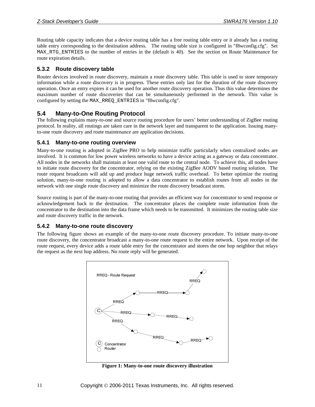Routing table capacity indicates that a device routing table has a free routing table entry or it already has a routing table entry corresponding to the destination address. The routing table size is configured in "f8wconfig.cfg". Set MAX RTG ENTRIES to the number of entries in the (default is 40). See the section on Route Maintenance for route expiration details.

### <span id="page-14-0"></span>**5.3.2 Route discovery table**

Router devices involved in route discovery, maintain a route discovery table. This table is used to store temporary information while a route discovery is in progress. These entries only last for the duration of the route discovery operation. Once an entry expires it can be used for another route discovery operation. Thus this value determines the maximum number of route discoveries that can be simultaneously performed in the network. This value is configured by setting the MAX\_RREQ\_ENTRIES in "f8wconfig.cfg".

### <span id="page-14-1"></span>**5.4 Many-to-One Routing Protocol**

The following explains many-to-one and source routing procedure for users' better understanding of ZigBee routing protocol. In reality, all routings are taken care in the network layer and transparent to the application. Issuing manyto-one route discovery and route maintenance are application decisions.

#### <span id="page-14-2"></span>**5.4.1 Many-to-one routing overview**

Many-to-one routing is adopted in ZigBee PRO to help minimize traffic particularly when centralized nodes are involved. It is common for low power wireless networks to have a device acting as a gateway or data concentrator. All nodes in the networks shall maintain at least one valid route to the central node. To achieve this, all nodes have to initiate route discovery for the concentrator, relying on the existing ZigBee AODV based routing solution. The route request broadcasts will add up and produce huge network traffic overhead. To better optimize the routing solution, many-to-one routing is adopted to allow a data concentrator to establish routes from all nodes in the network with one single route discovery and minimize the route discovery broadcast storm.

Source routing is part of the many-to-one routing that provides an efficient way for concentrator to send response or acknowledgement back to the destination. The concentrator places the complete route information from the concentrator to the destination into the data frame which needs to be transmitted. It minimizes the routing table size and route discovery traffic in the network.

#### <span id="page-14-3"></span>**5.4.2 Many-to-one route discovery**

The following figure shows an example of the many-to-one route discovery procedure. To initiate many-to-one route discovery, the concentrator broadcast a many-to-one route request to the entire network. Upon receipt of the route request, every device adds a route table entry for the concentrator and stores the one hop neighbor that relays the request as the next hop address. No route reply will be generated.



**Figure 1: Many-to-one route discovery illustration**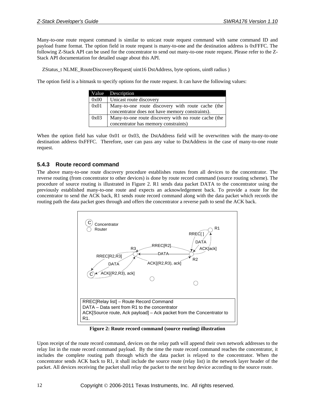Many-to-one route request command is similar to unicast route request command with same command ID and payload frame format. The option field in route request is many-to-one and the destination address is 0xFFFC. The following Z-Stack API can be used for the concentrator to send out many-to-one route request. Please refer to the Z-Stack API documentation for detailed usage about this API.

ZStatus\_t NLME\_RouteDiscoveryRequest( uint16 DstAddress, byte options, uint8 radius )

The option field is a bitmask to specify options for the route request. It can have the following values:

|      | Value Description                                                                                    |  |
|------|------------------------------------------------------------------------------------------------------|--|
| 0x00 | Unicast route discovery                                                                              |  |
| 0x01 | Many-to-one route discovery with route cache (the<br>concentrator does not have memory constraints). |  |
| 0x03 | Many-to-one route discovery with no route cache (the<br>concentrator has memory constraints)         |  |

When the option field has value 0x01 or 0x03, the DstAddress field will be overwritten with the many-to-one destination address 0xFFFC. Therefore, user can pass any value to DstAddress in the case of many-to-one route request.

### <span id="page-15-0"></span>**5.4.3 Route record command**

The above many-to-one route discovery procedure establishes routes from all devices to the concentrator. The reverse routing (from concentrator to other devices) is done by route record command (source routing scheme). The procedure of source routing is illustrated in [Figure 2](#page-15-1). R1 sends data packet DATA to the concentrator using the previously established many-to-one route and expects an acknowledgement back. To provide a route for the concentrator to send the ACK back, R1 sends route record command along with the data packet which records the routing path the data packet goes through and offers the concentrator a reverse path to send the ACK back.



**Figure 2: Route record command (source routing) illustration** 

<span id="page-15-1"></span>Upon receipt of the route record command, devices on the relay path will append their own network addresses to the relay list in the route record command payload. By the time the route record command reaches the concentrator, it includes the complete routing path through which the data packet is relayed to the concentrator. When the concentrator sends ACK back to R1, it shall include the source route (relay list) in the network layer header of the packet. All devices receiving the packet shall relay the packet to the next hop device according to the source route.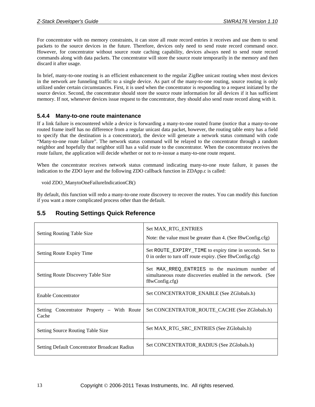For concentrator with no memory constraints, it can store all route record entries it receives and use them to send packets to the source devices in the future. Therefore, devices only need to send route record command once. However, for concentrator without source route caching capability, devices always need to send route record commands along with data packets. The concentrator will store the source route temporarily in the memory and then discard it after usage.

In brief, many-to-one routing is an efficient enhancement to the regular ZigBee unicast routing when most devices in the network are funneling traffic to a single device. As part of the many-to-one routing, source routing is only utilized under certain circumstances. First, it is used when the concentrator is responding to a request initiated by the source device. Second, the concentrator should store the source route information for all devices if it has sufficient memory. If not, whenever devices issue request to the concentrator, they should also send route record along with it.

### <span id="page-16-0"></span>**5.4.4 Many-to-one route maintenance**

If a link failure is encountered while a device is forwarding a many-to-one routed frame (notice that a many-to-one routed frame itself has no difference from a regular unicast data packet, however, the routing table entry has a field to specify that the destination is a concentrator), the device will generate a network status command with code "Many-to-one route failure". The network status command will be relayed to the concentrator through a random neighbor and hopefully that neighbor still has a valid route to the concentrator. When the concentrator receives the route failure, the application will decide whether or not to re-isssue a many-to-one route request.

When the concentrator receives network status command indicating many-to-one route failure, it passes the indication to the ZDO layer and the following ZDO callback function in ZDApp.c is called:

#### void ZDO\_ManytoOneFailureIndicationCB()

By default, this function will redo a many-to-one route discovery to recover the routes. You can modify this function if you want a more complicated process other than the default.

# **5.5 Routing Settings Quick Reference**

<span id="page-16-1"></span>

| <b>Setting Routing Table Size</b>                      | Set MAX_RTG_ENTRIES<br>Note: the value must be greater than 4. (See f8wConfig.cfg)                                            |
|--------------------------------------------------------|-------------------------------------------------------------------------------------------------------------------------------|
| Setting Route Expiry Time                              | Set ROUTE_EXPIRY_TIME to expiry time in seconds. Set to<br>0 in order to turn off route expiry. (See f8wConfig.cfg)           |
| Setting Route Discovery Table Size                     | Set MAX_RREQ_ENTRIES to the maximum number of<br>simultaneous route discoveries enabled in the network. (See<br>f8wConfig.cfg |
| Enable Concentrator                                    | Set CONCENTRATOR_ENABLE (See ZGlobals.h)                                                                                      |
| Concentrator Property – With Route<br>Setting<br>Cache | Set CONCENTRATOR_ROUTE_CACHE (See ZGlobals.h)                                                                                 |
| <b>Setting Source Routing Table Size</b>               | Set MAX_RTG_SRC_ENTRIES (See ZGlobals.h)                                                                                      |
| <b>Setting Default Concentrator Broadcast Radius</b>   | Set CONCENTRATOR_RADIUS (See ZGlobals.h)                                                                                      |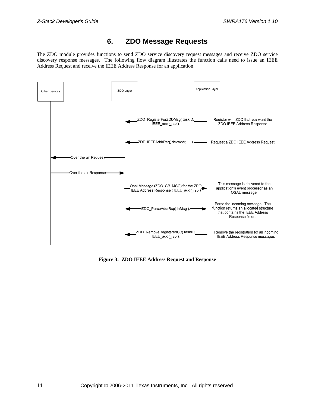# **6. ZDO Message Requests**

<span id="page-17-0"></span>The ZDO module provides functions to send ZDO service discovery request messages and receive ZDO service discovery response messages. The following flow diagram illustrates the function calls need to issue an IEEE Address Request and receive the IEEE Address Response for an application.



**Figure 3: ZDO IEEE Address Request and Response**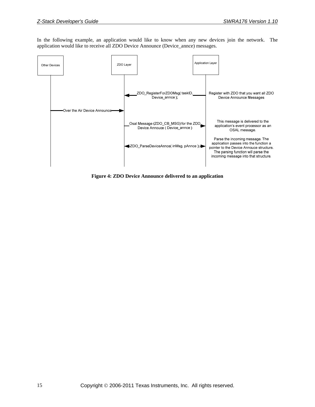In the following example, an application would like to know when any new devices join the network. The application would like to receive all ZDO Device Announce (Device\_annce) messages.



**Figure 4: ZDO Device Announce delivered to an application**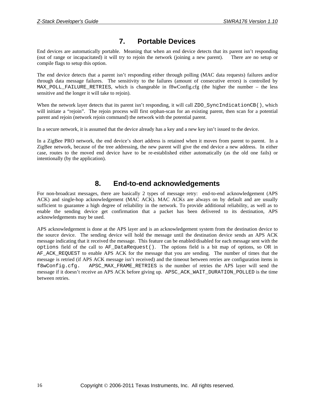# **7. Portable Devices**

<span id="page-19-0"></span>End devices are automatically portable. Meaning that when an end device detects that its parent isn't responding (out of range or incapacitated) it will try to rejoin the network (joining a new parent). There are no setup or compile flags to setup this option.

The end device detects that a parent isn't responding either through polling (MAC data requests) failures and/or through data message failures. The sensitivity to the failures (amount of consecutive errors) is controlled by MAX POLL FAILURE RETRIES, which is changeable in f8wConfig.cfg (the higher the number – the less sensitive and the longer it will take to rejoin).

When the network layer detects that its parent isn't responding, it will call ZDO SyncIndicationCB(), which will initiate a "rejoin". The rejoin process will first orphan-scan for an existing parent, then scan for a potential parent and rejoin (network rejoin command) the network with the potential parent.

In a secure network, it is assumed that the device already has a key and a new key isn't issued to the device.

In a ZigBee PRO network, the end device's short address is retained when it moves from parent to parent. In a ZigBee network, because of the tree addressing, the new parent will give the end device a new address. In either case, routes to the moved end device have to be re-established either automatically (as the old one fails) or intentionally (by the application).

# **8. End-to-end acknowledgements**

<span id="page-19-1"></span>For non-broadcast messages, there are basically 2 types of message retry: end-to-end acknowledgement (APS ACK) and single-hop acknowledgement (MAC ACK). MAC ACKs are always on by default and are usually sufficient to guarantee a high degree of reliability in the network. To provide additional reliability, as well as to enable the sending device get confirmation that a packet has been delivered to its destination, APS acknowledgements may be used.

APS acknowledgement is done at the APS layer and is an acknowledgement system from the destination device to the source device. The sending device will hold the message until the destination device sends an APS ACK message indicating that it received the message. This feature can be enabled/disabled for each message sent with the options field of the call to AF\_DataRequest(). The options field is a bit map of options, so OR in AF\_ACK\_REQUEST to enable APS ACK for the message that you are sending. The number of times that the message is retried (if APS ACK message isn't received) and the timeout between retries are configuration items in f8wConfig.cfg. APSC\_MAX\_FRAME\_RETRIES is the number of retries the APS layer will send the message if it doesn't receive an APS ACK before giving up. APSC\_ACK\_WAIT\_DURATION\_POLLED is the time between retries.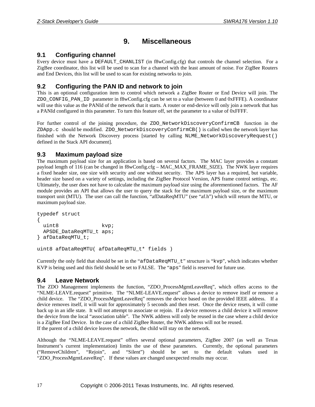# **9. Miscellaneous**

# <span id="page-20-1"></span><span id="page-20-0"></span>**9.1 Configuring channel**

Every device must have a DEFAULT\_CHANLIST (in f8wConfig.cfg) that controls the channel selection. For a ZigBee coordinator, this list will be used to scan for a channel with the least amount of noise. For ZigBee Routers and End Devices, this list will be used to scan for existing networks to join.

# <span id="page-20-2"></span>**9.2 Configuring the PAN ID and network to join**

This is an optional configuration item to control which network a ZigBee Router or End Device will join. The ZDO\_CONFIG\_PAN\_ID parameter in f8wConfig.cfg can be set to a value (between 0 and 0xFFFE). A coordinator will use this value as the PANId of the network that it starts. A router or end-device will only join a network that has a PANId configured in this parameter. To turn this feature off, set the parameter to a value of 0xFFFF.

For further control of the joining procedure, the ZDO NetworkDiscoveryConfirmCB function in the ZDApp.c should be modified. ZDO\_NetworkDiscoveryConfirmCB() is called when the network layer has finished with the Network Discovery process [started by calling NLME NetworkDiscoveryRequest() defined in the Stack API document].

# <span id="page-20-3"></span>**9.3 Maximum payload size**

The maximum payload size for an application is based on several factors. The MAC layer provides a constant payload length of 116 (can be changed in f8wConfig.cfg – MAC\_MAX\_FRAME\_SIZE). The NWK layer requires a fixed header size, one size with security and one without security. The APS layer has a required, but variable, header size based on a variety of settings, including the ZigBee Protocol Version, APS frame control settings, etc. Ultimately, the user does not have to calculate the maximum payload size using the aforementioned factors. The AF module provides an API that allows the user to query the stack for the maximum payload size, or the maximum transport unit (MTU). The user can call the function, "afDataReqMTU" (see "af.h") which will return the MTU, or maximum payload size.

```
typedef struct 
{ 
 uint8 kvp;
  APSDE_DataReqMTU_t aps; 
} afDataReqMTU_t; 
uint8 afDataReqMTU( afDataReqMTU_t* fields )
```
Currently the only field that should be set in the "afDataReqMTU $t$ " structure is "kvp", which indicates whether KVP is being used and this field should be set to FALSE. The "aps" field is reserved for future use.

# <span id="page-20-4"></span>**9.4 Leave Network**

The ZDO Management implements the function, "ZDO\_ProcessMgmtLeaveReq", which offers access to the "NLME-LEAVE.request" primitive. The "NLME-LEAVE.request" allows a device to remove itself or remove a child device. The "ZDO\_ProcessMgmtLeaveReq" removes the device based on the provided IEEE address. If a device removes itself, it will wait for approximately 5 seconds and then reset. Once the device resets, it will come back up in an idle state. It will not attempt to associate or rejoin. If a device removes a child device it will remove the device from the local "association table". The NWK address will only be reused in the case where a child device is a ZigBee End Device. In the case of a child ZigBee Router, the NWK address will not be reused. If the parent of a child device leaves the network, the child will stay on the network.

Although the "NLME-LEAVE.request" offers several optional parameters, ZigBee 2007 (as well as Texas Instrument's current implementation) limits the use of these parameters. Currently, the optional parameters ("RemoveChildren", "Rejoin", and "Silent") should be set to the default values used in "ZDO\_ProcessMgmtLeaveReq". If these values are changed unexpected results may occur.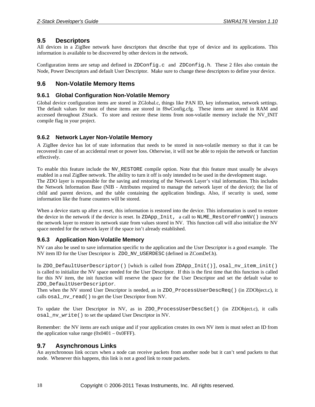### <span id="page-21-0"></span>**9.5 Descriptors**

All devices in a ZigBee network have descriptors that describe that type of device and its applications. This information is available to be discovered by other devices in the network.

Configuration items are setup and defined in ZDConfig.c and ZDConfig.h. These 2 files also contain the Node, Power Descriptors and default User Descriptor. Make sure to change these descriptors to define your device.

### <span id="page-21-1"></span>**9.6 Non-Volatile Memory Items**

### <span id="page-21-2"></span>**9.6.1 Global Configuration Non-Volatile Memory**

Global device configuration items are stored in ZGlobal.c, things like PAN ID, key information, network settings. The default values for most of these items are stored in f8wConfig.cfg. These items are stored in RAM and accessed throughout ZStack. To store and restore these items from non-volatile memory include the NV\_INIT compile flag in your project.

### <span id="page-21-3"></span>**9.6.2 Network Layer Non-Volatile Memory**

A ZigBee device has lot of state information that needs to be stored in non-volatile memory so that it can be recovered in case of an accidental reset or power loss. Otherwise, it will not be able to rejoin the network or function effectively.

To enable this feature include the NV\_RESTORE compile option. Note that this feature must usually be always enabled in a real ZigBee network. The ability to turn it off is only intended to be used in the development stage. The ZDO layer is responsible for the saving and restoring of the Network Layer's vital information. This includes

the Network Information Base (NIB - Attributes required to manage the network layer of the device); the list of child and parent devices, and the table containing the application bindings. Also, if security is used, some information like the frame counters will be stored.

When a device starts up after a reset, this information is restored into the device. This information is used to restore the device in the network if the device is reset. In ZDApp\_Init, a call to NLME\_RestoreFromNV() instructs the network layer to restore its network state from values stored in NV. This function call will also initialize the NV space needed for the network layer if the space isn't already established.

#### <span id="page-21-4"></span>**9.6.3 Application Non-Volatile Memory**

NV can also be used to save information specific to the application and the User Descriptor is a good example. The NV item ID for the User Descriptor is ZDO\_NV\_USERDESC (defined in ZComDef.h).

In ZDO\_DefaultUserDescriptor() [which is called from ZDApp\_Init()], osal\_nv\_item\_init() is called to initialize the NV space needed for the User Descriptor. If this is the first time that this function is called for this NV item, the init function will reserve the space for the User Descriptor and set the default value to ZDO\_DefaultUserDescriptor.

Then when the NV stored User Descriptor is needed, as in ZDO\_ProcessUserDescReq() (in ZDObject.c), it calls osal\_nv\_read() to get the User Descriptor from NV.

To update the User Descriptor in NV, as in ZDO\_ProcessUserDescSet() (in ZDObject.c), it calls osal\_nv\_write() to set the updated User Descriptor in NV.

Remember: the NV items are each unique and if your application creates its own NV item is must select an ID from the application value range  $(0x0401 - 0x0$ FFF).

### <span id="page-21-5"></span>**9.7 Asynchronous Links**

An asynchronous link occurs when a node can receive packets from another node but it can't send packets to that node. Whenever this happens, this link is not a good link to route packets.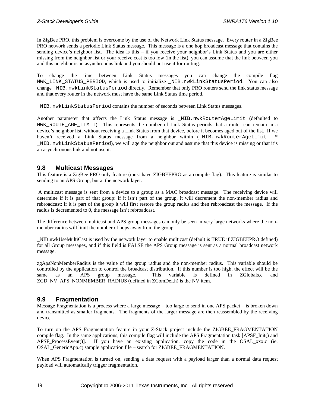In ZigBee PRO, this problem is overcome by the use of the Network Link Status message. Every router in a ZigBee PRO network sends a periodic Link Status message. This message is a one hop broadcast message that contains the sending device's neighbor list. The idea is this – if you receive your neighbor's Link Status and you are either missing from the neighbor list or your receive cost is too low (in the list), you can assume that the link between you and this neighbor is an asynchronous link and you should not use it for routing.

To change the time between Link Status messages you can change the compile flag NWK\_LINK\_STATUS\_PERIOD, which is used to initialize \_NIB.nwkLinkStatusPeriod. You can also change \_NIB.nwkLinkStatusPeriod directly. Remember that only PRO routers send the link status message and that every router in the network must have the same Link Status time period.

\_NIB.nwkLinkStatusPeriod contains the number of seconds between Link Status messages.

Another parameter that affects the Link Status message is \_NIB.nwkRouterAgeLimit (defaulted to NWK\_ROUTE\_AGE\_LIMIT). This represents the number of Link Status periods that a router can remain in a device's neighbor list, without receiving a Link Status from that device, before it becomes aged out of the list. If we haven't received a Link Status message from a neighbor within (\_NIB.nwkRouterAgeLimit \_NIB.nwkLinkStatusPeriod), we will age the neighbor out and assume that this device is missing or that it's an asynchronous link and not use it.

#### <span id="page-22-0"></span>**9.8 Multicast Messages**

This feature is a ZigBee PRO only feature (must have ZIGBEEPRO as a compile flag). This feature is similar to sending to an APS Group, but at the network layer.

 A multicast message is sent from a device to a group as a MAC broadcast message. The receiving device will determine if it is part of that group: if it isn't part of the group, it will decrement the non-member radius and rebroadcast; if it is part of the group it will first restore the group radius and then rebroadcast the message. If the radius is decremented to 0, the message isn't rebroadcast.

The difference between multicast and APS group messages can only be seen in very large networks where the nonmember radius will limit the number of hops away from the group.

\_NIB.nwkUseMultiCast is used by the network layer to enable multicast (default is TRUE if ZIGBEEPRO defined) for all Group messages, and if this field is FALSE the APS Group message is sent as a normal broadcast network message.

zgApsNonMemberRadius is the value of the group radius and the non-member radius. This variable should be controlled by the application to control the broadcast distribution. If this number is too high, the effect will be the same as an APS group message. This variable is defined in ZGlobals.c and ZCD\_NV\_APS\_NONMEMBER\_RADIUS (defined in ZComDef.h) is the NV item.

### <span id="page-22-1"></span>**9.9 Fragmentation**

Message Fragmentation is a process where a large message – too large to send in one APS packet – is broken down and transmitted as smaller fragments. The fragments of the larger message are then reassembled by the receiving device.

To turn on the APS Fragmentation feature in your Z-Stack project include the ZIGBEE\_FRAGMENTATION compile flag. In the same applications, this compile flag will include the APS Fragmentation task [APSF\_Init() and APSF\_ProcessEvent()]. If you have an existing application, copy the code in the OSAL\_xxx.c (ie. OSAL\_GenericApp.c) sample application file – search for ZIGBEE\_FRAGMENTATION.

When APS Fragmentation is turned on, sending a data request with a payload larger than a normal data request payload will automatically trigger fragmentation.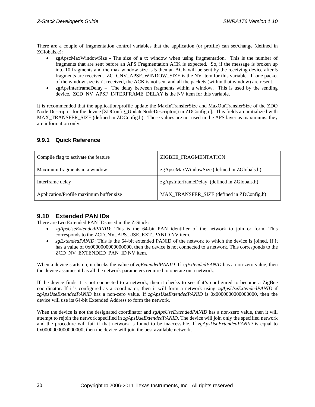There are a couple of fragmentation control variables that the application (or profile) can set/change (defined in ZGlobals.c):

- zgApscMaxWindowSize The size of a tx window when using fragmentation. This is the number of fragments that are sent before an APS Fragmentation ACK is expected. So, if the message is broken up into 10 fragments and the max window size is 5 then an ACK will be sent by the receiving device after 5 fragments are received. ZCD\_NV\_APSF\_WINDOW\_SIZE is the NV item for this variable. If one packet of the window size isn't received, the ACK is not sent and all the packets (within that window) are resent.
- zgApsInterframeDelay The delay between fragments within a window. This is used by the sending device. ZCD\_NV\_APSF\_INTERFRAME\_DELAY is the NV item for this variable.

It is recommended that the application/profile update the MaxInTransferSize and MaxOutTransferSize of the ZDO Node Descriptor for the device [ZDConfig\_UpdateNodeDescriptor() in ZDConfig.c]. This fields are initialized with MAX\_TRANSFER\_SIZE (defined in ZDConfig.h). These values are not used in the APS layer as maximums, they are information only.

### <span id="page-23-0"></span>**9.9.1 Quick Reference**

| Compile flag to activate the feature    | ZIGBEE_FRAGMENTATION                         |
|-----------------------------------------|----------------------------------------------|
| Maximum fragments in a window           | zgApscMaxWindowSize (defined in ZGlobals.h)  |
| Interframe delay                        | zgApsInterframeDelay (defined in ZGlobals.h) |
| Application/Profile maximum buffer size | MAX_TRANSFER_SIZE (defined in ZDConfig.h)    |

# <span id="page-23-1"></span>**9.10 Extended PAN IDs**

There are two Extended PAN IDs used in the Z-Stack:

- *zgApsUseExtendedPANID*: This is the 64-bit PAN identifier of the network to join or form. This corresponds to the ZCD\_NV\_APS\_USE\_EXT\_PANID NV item.
- *zgExtendedPANID*: This is the 64-bit extended PANID of the network to which the device is joined. If it has a value of 0x00000000000000000, then the device is not connected to a network. This corresponds to the ZCD\_NV\_EXTENDED\_PAN\_ID NV item.

When a device starts up, it checks the value of *zgExtendedPANID*. If *zgExtendedPANID* has a non-zero value, then the device assumes it has all the network parameters required to operate on a network.

If the device finds it is not connected to a network, then it checks to see if it's configured to become a ZigBee coordinator. If it's configured as a coordinator, then it will form a network using *zgApsUseExtendedPANID* if *zgApsUseExtendedPANID* has a non-zero value. If *zgApsUseExtendedPANID* is 0x0000000000000000, then the device will use its 64-bit Extended Address to form the network.

When the device is not the designated coordinator and *zgApsUseExtendedPANID* has a non-zero value, then it will attempt to rejoin the network specified in *zgApsUseExtendedPANID*. The device will join only the specified network and the procedure will fail if that network is found to be inaccessible. If *zgApsUseExtendedPANID* is equal to 0x0000000000000000, then the device will join the best available network.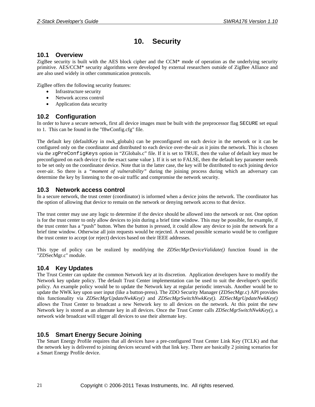# **10. Security**

### <span id="page-24-1"></span><span id="page-24-0"></span>**10.1 Overview**

ZigBee security is built with the AES block cipher and the CCM\* mode of operation as the underlying security primitive. AES/CCM\* security algorithms were developed by external researchers outside of ZigBee Alliance and are also used widely in other communication protocols.

ZigBee offers the following security features:

- Infrastructure security
- Network access control
- Application data security

### <span id="page-24-2"></span>**10.2 Configuration**

In order to have a secure network, first all device images must be built with the preprocessor flag SECURE set equal to 1. This can be found in the "f8wConfig.cfg" file.

The default key (defaultKey in nwk\_globals) can be preconfigured on each device in the network or it can be configured only on the coordinator and distributed to each device over-the-air as it joins the network. This is chosen via the zgPreConfigKeys option in "ZGlobals.c" file. If it is set to TRUE, then the value of default key must be preconfigured on each device ( to the exact same value ). If it is set to FALSE, then the default key parameter needs to be set only on the coordinator device. Note that in the latter case, the key will be distributed to each joining device over-air. So there is a *"moment of vulnerability"* during the joining process during which an adversary can determine the key by listening to the on-air traffic and compromise the network security.

### <span id="page-24-3"></span>**10.3 Network access control**

In a secure network, the trust center (coordinator) is informed when a device joins the network. The coordinator has the option of allowing that device to remain on the network or denying network access to that device.

The trust center may use any logic to determine if the device should be allowed into the network or not. One option is for the trust center to only allow devices to join during a brief time window. This may be possible, for example, if the trust center has a "push" button. When the button is pressed, it could allow any device to join the network for a brief time window. Otherwise all join requests would be rejected. A second possible scenario would be to configure the trust center to accept (or reject) devices based on their IEEE addresses.

This type of policy can be realized by modifying the *ZDSecMgrDeviceValidate()* function found in the "ZDSecMgr.c" module.

# <span id="page-24-4"></span>**10.4 Key Updates**

The Trust Center can update the common Network key at its discretion. Application developers have to modify the Network key update policy. The default Trust Center implementation can be used to suit the developer's specific policy. An example policy would be to update the Network key at regular periodic intervals. Another would be to update the NWK key upon user input (like a button-press). The ZDO Security Manager (ZDSecMgr.c) API provides this functionality via *ZDSecMgrUpdateNwkKey()* and *ZDSecMgrSwitchNwkKey()*. *ZDSecMgrUpdateNwkKey()* allows the Trust Center to broadcast a new Network key to all devices on the network. At this point the new Network key is stored as an alternate key in all devices. Once the Trust Center calls *ZDSecMgrSwitchNwkKey()*, a network wide broadcast will trigger all devices to use their alternate key.

# <span id="page-24-5"></span>**10.5 Smart Energy Secure Joining**

The Smart Energy Profile requires that all devices have a pre-configured Trust Center Link Key (TCLK) and that the network key is delivered to joining devices secured with that link key. There are basically 2 joining scenarios for a Smart Energy Profile device.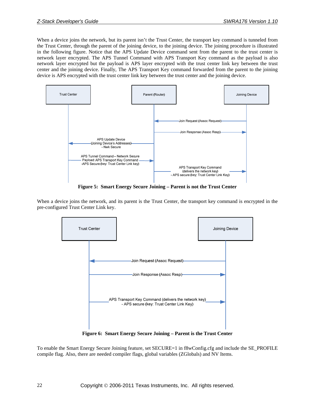When a device joins the network, but its parent isn't the Trust Center, the transport key command is tunneled from the Trust Center, through the parent of the joining device, to the joining device. The joining procedure is illustrated in the following figure. Notice that the APS Update Device command sent from the parent to the trust center is network layer encrypted. The APS Tunnel Command with APS Transport Key command as the payload is also network layer encrypted but the payload is APS layer encrypted with the trust center link key between the trust center and the joining device. Finally, The APS Transport Key command forwarded from the parent to the joining device is APS encrypted with the trust center link key between the trust center and the joining device.



**Figure 5: Smart Energy Secure Joining – Parent is not the Trust Center** 

When a device joins the network, and its parent is the Trust Center, the transport key command is encrypted in the pre-configured Trust Center Link key.



**Figure 6: Smart Energy Secure Joining – Parent is the Trust Center** 

To enable the Smart Energy Secure Joining feature, set SECURE=1 in f8wConfig.cfg and include the SE\_PROFILE compile flag. Also, there are needed compiler flags, global variables (ZGlobals) and NV Items.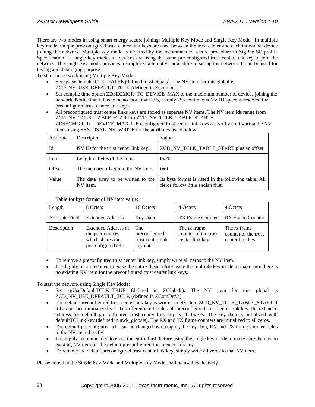There are two modes in using smart energy secure joining: Multiple Key Mode and Single Key Mode. In multiple key mode, unique pre-configured trust center link keys are used between the trust center and each individual device joining the network. Multiple key mode is required by the recommended secure procedure in ZigBee SE profile Specification. In single key mode, all devices are using the same pre-configured trust center link key to join the network. The single key mode provides a simplified alternative procedure to set up the network. It can be used for testing and debugging purpose.

To start the network using Multiple Key Mode:

- Set zgUseDefaultTCLK=FALSE (defined in ZGlobals). The NV item for this global is ZCD\_NV\_USE\_DEFAULT\_TCLK (defined in ZComDef.h).
- Set compile time option ZDSECMGR TC\_DEVICE\_MAX to the maximum number of devices joining the network. Notice that it has to be no more than 255, as only 255 continuous NV ID space is reserved for preconfigured trust center link keys.
- All preconfigured trust center links keys are stored as separate NV items. The NV item ids range from ZCD\_NV\_TCLK\_TABLE\_START to ZCD\_NV\_TCLK\_TABLE\_START+ ZDSECMGR\_TC\_DEVICE\_MAX-1. Preconfigured trust center link keys are set by configuring the NV

| items using SYS_OSAL_NV_WRITE for the attributes listed below: | ZDSECMGR_TC_DEVICE_MAX-1. Preconfigured trust center link keys are set by configuring the NV |
|----------------------------------------------------------------|----------------------------------------------------------------------------------------------|
|                                                                |                                                                                              |

| Attribute | Description                                     | Value                                                                                       |
|-----------|-------------------------------------------------|---------------------------------------------------------------------------------------------|
| Id        | NV ID for the trust center link key.            | ZCD_NV_TCLK_TABLE_START plus an offset.                                                     |
| Len       | Length in bytes of the item.                    | 0x20                                                                                        |
| Offset    | The memory offset into the NV item.             | 0x0                                                                                         |
| Value     | The data array to be written to the<br>NV item. | Its byte format is listed in the following table. All<br>fields follow little endian first. |

Table for byte format of NV item value:

| Length          | 8 Octets                                                                                 | 16 Octets                                             | 4 Octets                                                | 4 Octets                                                |
|-----------------|------------------------------------------------------------------------------------------|-------------------------------------------------------|---------------------------------------------------------|---------------------------------------------------------|
| Attribute Field | <b>Extended Address</b>                                                                  | Key Data                                              | TX Frame Counter                                        | RX Frame Counter                                        |
| Description     | <b>Extended Address of</b><br>the peer devices<br>which shares the<br>preconfigured tclk | The<br>preconfigured<br>trust center link<br>key data | The tx frame<br>counter of the trust<br>center link key | The rx frame<br>counter of the trust<br>center link key |

- To remove a preconfigured trust center link key, simply write all zeros to the NV item.
- It is highly recommended to erase the entire flash before using the multiple key mode to make sure there is no existing NV item for the preconfigured trust center link keys.

To start the network using Single Key Mode:

- Set zgUseDefaultTCLK=TRUE (defined in ZGlobals). The NV item for this global is ZCD\_NV\_USE\_DEFAULT\_TCLK (defined in ZComDef.h).
- The default preconfigured trust center link key is written to NV item ZCD\_NV\_TCLK\_TABLE\_START if it has not been initialized yet. To differentiate the default preconfigured trust center link key, the extended address for default preconfigured trust center link key is all 0xFFs. The key data is initialized with defaultTCLinkKey (defined in nwk\_globals). The RX and TX frame counters are initialized to all zeros.
- The default preconfigured tclk can be changed by changing the key data, RX and TX frame counter fields in the NV item directly.
- It is highly recommended to erase the entire flash before using the single key mode to make sure there is no existing NV item for the default preconfigured trust center link key.
- To remove the default preconfigured trust center link key, simply write all zeros to that NV item.

Please note that the Single Key Mode and Multiple Key Mode shall be used exclusively.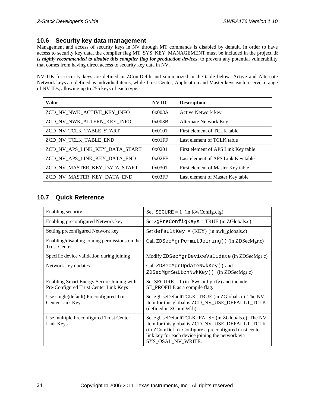### <span id="page-27-0"></span>**10.6 Security key data management**

Management and access of security keys in NV through MT commands is disabled by default. In order to have access to security key data, the compiler flag MT\_SYS\_KEY\_MANAGEMENT must be included in the project. *It is highly recommended to disable this compiler flag for production devices*, to prevent any potential vulnerability that comes from having direct access to security key data in NV.

NV IDs for security keys are defined in ZComDef.h and summarized in the table below. Active and Alternate Network keys are defined as individual items, while Trust Center, Application and Master keys each reserve a range of NV IDs, allowing up to 255 keys of each type.

| <b>Value</b>                   | <b>NV ID</b> | <b>Description</b>                  |
|--------------------------------|--------------|-------------------------------------|
| ZCD_NV_NWK_ACTIVE_KEY_INFO     | 0x003A       | <b>Active Network key</b>           |
| ZCD_NV_NWK_ALTERN_KEY_INFO     | 0x003B       | Alternate Network Key               |
| ZCD_NV_TCLK_TABLE_START        | 0x0101       | First element of TCLK table         |
| ZCD_NV_TCLK_TABLE_END          | 0x01FF       | Last element of TCLK table          |
| ZCD NV APS LINK KEY DATA START | 0x0201       | First element of APS Link Key table |
| ZCD NV APS LINK KEY DATA END   | 0x02FF       | Last element of APS Link Key table  |
| ZCD NV MASTER KEY DATA START   | 0x0301       | First element of Master Key table   |
| ZCD_NV_MASTER_KEY_DATA END     | 0x03FF       | Last element of Master Key table    |

# <span id="page-27-1"></span>**10.7 Quick Reference**

| Enabling security                                                                  | Set $SECURE = 1$ (in f8wConfig.cfg)                                                                                                                                                                                                       |
|------------------------------------------------------------------------------------|-------------------------------------------------------------------------------------------------------------------------------------------------------------------------------------------------------------------------------------------|
| Enabling preconfigured Network key                                                 | Set zgPreConfigKeys = TRUE (in ZGlobals.c)                                                                                                                                                                                                |
| Setting preconfigured Network key                                                  | Set defaultKey = $\{KEY\}$ (in nwk_globals.c)                                                                                                                                                                                             |
| Enabling/disabling joining permissions on the<br><b>Trust Center</b>               | Call ZDSecMgrPermitJoining() (in ZDSecMgr.c)                                                                                                                                                                                              |
| Specific device validation during joining                                          | Modify ZDSecMgrDeviceValidate (in ZDSecMgr.c)                                                                                                                                                                                             |
| Network key updates                                                                | Call ZDSecMgrUpdateNwkKey() and<br>ZDSecMgrSwitchNwkKey() (in ZDSecMgr.c)                                                                                                                                                                 |
| Enabling Smart Energy Secure Joining with<br>Pre-Configured Trust Center Link Keys | Set $SECURE = 1$ (in $f8wConfig.cfg$ ) and include<br>SE_PROFILE as a compile flag.                                                                                                                                                       |
| Use single (default) Preconfigured Trust<br>Center Link Key                        | Set zgUseDefaultTCLK=TRUE (in ZGlobals.c). The NV<br>item for this global is ZCD_NV_USE_DEFAULT_TCLK<br>(defined in ZComDef.h).                                                                                                           |
| Use multiple Preconfigured Trust Center<br>Link Keys                               | Set zgUseDefaultTCLK=FALSE (in ZGlobals.c). The NV<br>item for this global is ZCD_NV_USE_DEFAULT_TCLK<br>(in ZComDef.h). Configure a preconfigured trust center<br>link key for each device joining the network via<br>SYS OSAL NV WRITE. |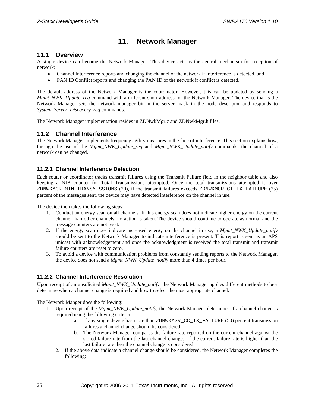# **11. Network Manager**

### <span id="page-28-1"></span><span id="page-28-0"></span>**11.1 Overview**

A single device can become the Network Manager. This device acts as the central mechanism for reception of network:

- Channel Interference reports and changing the channel of the network if interference is detected, and
- PAN ID Conflict reports and changing the PAN ID of the network if conflict is detected.

The default address of the Network Manager is the coordinator. However, this can be updated by sending a *Mgmt\_NWK\_Update\_req* command with a different short address for the Network Manager. The device that is the Network Manager sets the network manager bit in the server mask in the node descriptor and responds to *System\_Server\_Discovery\_req* commands.

The Network Manager implementation resides in ZDNwkMgr.c and ZDNwkMgr.h files.

### <span id="page-28-2"></span>**11.2 Channel Interference**

The Network Manager implements frequency agility measures in the face of interference. This section explains how, through the use of the *Mgmt\_NWK\_Update\_req* and *Mgmt\_NWK\_Update\_notify* commands, the channel of a network can be changed.

### <span id="page-28-3"></span>**11.2.1 Channel Interference Detection**

Each router or coordinator tracks transmit failures using the Transmit Failure field in the neighbor table and also keeping a NIB counter for Total Transmissions attempted. Once the total transmissions attempted is over ZDNWKMGR\_MIN\_TRANSMISSIONS (20), if the transmit failures exceeds ZDNWKMGR\_CI\_TX\_FAILURE (25) percent of the messages sent, the device may have detected interference on the channel in use.

The device then takes the following steps:

- 1. Conduct an energy scan on all channels. If this energy scan does not indicate higher energy on the current channel than other channels, no action is taken. The device should continue to operate as normal and the message counters are not reset.
- 2. If the energy scan does indicate increased energy on the channel in use, a *Mgmt\_NWK\_Update\_notify* should be sent to the Network Manager to indicate interference is present. This report is sent as an APS unicast with acknowledgement and once the acknowledgment is received the total transmit and transmit failure counters are reset to zero.
- 3. To avoid a device with communication problems from constantly sending reports to the Network Manager, the device does not send a *Mgmt\_NWK\_Update\_notify* more than 4 times per hour.

### <span id="page-28-4"></span>**11.2.2 Channel Interference Resolution**

Upon receipt of an unsolicited *Mgmt\_NWK\_Update\_notify*, the Network Manager applies different methods to best determine when a channel change is required and how to select the most appropriate channel.

The Network Manger does the following:

- 1. Upon receipt of the *Mgmt\_NWK\_Update\_notify*, the Network Manager determines if a channel change is required using the following criteria:
	- a. If any single device has more than ZDNWKMGR\_CC\_TX\_FAILURE (50) percent transmission failures a channel change should be considered.
	- b. The Network Manager compares the failure rate reported on the current channel against the stored failure rate from the last channel change. If the current failure rate is higher than the last failure rate then the channel change is considered.
	- 2. If the above data indicate a channel change should be considered, the Network Manager completes the following: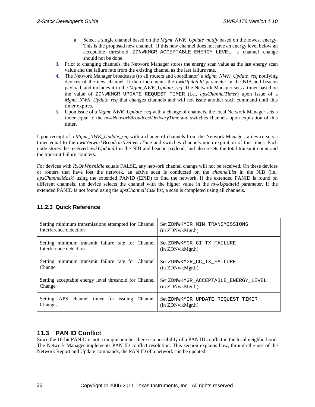- a. Select a single channel based on the *Mgmt\_NWK\_Update\_notify* based on the lowest energy. This is the proposed new channel. If this new channel does not have an energy level below an acceptable threshold ZDNWKMGR\_ACCEPTABLE\_ENERGY\_LEVEL, a channel change should not be done.
- 3. Prior to changing channels, the Network Manager stores the energy scan value as the last energy scan value and the failure rate from the existing channel as the last failure rate.
- 4. The Network Manager broadcasts (to all routers and coordinator) a *Mgmt\_NWK\_Update\_req* notifying devices of the new channel. It then increments the *nwkUpdateId* parameter in the NIB and beacon payload, and includes it in the *Mgmt\_NWK\_Update\_req*. The Network Manager sets a timer based on the value of ZDNWKMGR\_UPDATE\_REQUEST\_TIMER (i.e., *apsChannelTimer*) upon issue of a *Mgmt\_NWK\_Update\_req* that changes channels and will not issue another such command until this timer expires.
- 5. Upon issue of a *Mgmt\_NWK\_Update\_req* with a change of channels, the local Network Manager sets a timer equal to the *nwkNetworkBroadcastDeliveryTime* and switches channels upon expiration of this timer.

Upon receipt of a *Mgmt\_NWK\_Update\_req* with a change of channels from the Network Manager, a device sets a timer equal to the *nwkNetworkBroadcastDeliveryTime* and switches channels upon expiration of this timer. Each node stores the received *nwkUpdateId* in the NIB and beacon payload, and also resets the total transmit count and the transmit failure counters.

For devices with *RxOnWhenIdle* equals FALSE, any network channel change will not be received. On these devices or routers that have lost the network, an active scan is conducted on the *channelList* in the NIB (i.e., *apsChannelMask*) using the extended PANID (EPID) to find the network. If the extended PANID is found on different channels, the device selects the channel with the higher value in the *nwkUpdateId* parameter. If the extended PANID is not found using the *apsChannelMask* list, a scan is completed using all channels.

| Setting minimum transmissions attempted for Channel   | Set ZDNWKMGR MIN TRANSMISSIONS       |
|-------------------------------------------------------|--------------------------------------|
| Interference detection                                | (in ZDNwkMgr.h)                      |
| Setting minimum transmit failure rate for Channel     | Set ZDNWKMGR CI TX FAILURE           |
| Interference detection                                | (in ZDNwkMgr.h)                      |
| Setting minimum transmit failure rate for Channel     | Set ZDNWKMGR CC TX FAILURE           |
| Change                                                | (in ZDNwkMgr.h)                      |
| Setting acceptable energy level threshold for Channel | Set ZDNWKMGR ACCEPTABLE ENERGY LEVEL |
| Change                                                | (in ZDNwkMgr.h)                      |
| Setting APS channel timer for issuing Channel         | Set ZDNWKMGR UPDATE REQUEST TIMER    |
| Changes                                               | (in ZDNwkMgr.h)                      |

### <span id="page-29-0"></span>**11.2.3 Quick Reference**

# <span id="page-29-1"></span>**11.3 PAN ID Conflict**

Since the 16-bit PANID is not a unique number there is a possibility of a PAN ID conflict in the local neighborhood. The Network Manager implements PAN ID conflict resolution. This section explains how, through the use of the Network Report and Update commands, the PAN ID of a network can be updated.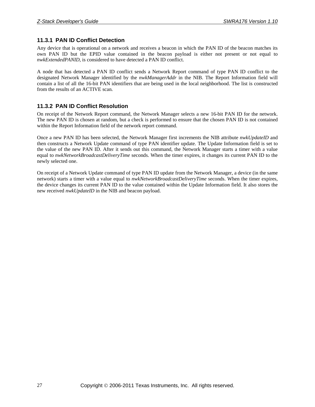### <span id="page-30-0"></span>**11.3.1 PAN ID Conflict Detection**

Any device that is operational on a network and receives a beacon in which the PAN ID of the beacon matches its own PAN ID but the EPID value contained in the beacon payload is either not present or not equal to *nwkExtendedPANID*, is considered to have detected a PAN ID conflict.

A node that has detected a PAN ID conflict sends a Network Report command of type PAN ID conflict to the designated Network Manager identified by the *nwkManagerAddr* in the NIB. The Report Information field will contain a list of all the 16-bit PAN identifiers that are being used in the local neighborhood. The list is constructed from the results of an ACTIVE scan.

### <span id="page-30-1"></span>**11.3.2 PAN ID Conflict Resolution**

On receipt of the Network Report command, the Network Manager selects a new 16-bit PAN ID for the network. The new PAN ID is chosen at random, but a check is performed to ensure that the chosen PAN ID is not contained within the Report Information field of the network report command.

Once a new PAN ID has been selected, the Network Manager first increments the NIB attribute *nwkUpdateID* and then constructs a Network Update command of type PAN identifier update. The Update Information field is set to the value of the new PAN ID. After it sends out this command, the Network Manager starts a timer with a value equal to *nwkNetworkBroadcastDeliveryTime* seconds. When the timer expires, it changes its current PAN ID to the newly selected one.

On receipt of a Network Update command of type PAN ID update from the Network Manager, a device (in the same network) starts a timer with a value equal to *nwkNetworkBroadcastDeliveryTime* seconds. When the timer expires, the device changes its current PAN ID to the value contained within the Update Information field. It also stores the new received *nwkUpdateID* in the NIB and beacon payload.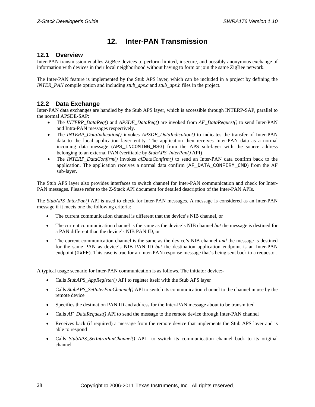# **12. Inter-PAN Transmission**

### <span id="page-31-1"></span><span id="page-31-0"></span>**12.1 Overview**

Inter-PAN transmission enables ZigBee devices to perform limited, insecure, and possibly anonymous exchange of information with devices in their local neighborhood without having to form or join the same ZigBee network.

The Inter-PAN feature is implemented by the Stub APS layer, which can be included in a project by defining the *INTER\_PAN* compile option and including *stub\_aps.c* and *stub\_aps.h* files in the project.

### <span id="page-31-2"></span>**12.2 Data Exchange**

Inter-PAN data exchanges are handled by the Stub APS layer, which is accessible through INTERP-SAP, parallel to the normal APSDE-SAP:

- The *INTERP\_DataReq()* and *APSDE\_DataReq()* are invoked from *AF\_DataRequest()* to send Inter-PAN and Intra-PAN messages respectively.
- The *INTERP\_DataIndication()* invokes *APSDE\_DataIndication()* to indicates the transfer of Inter-PAN data to the local application layer entity. The application then receives Inter-PAN data as a normal incoming data message (APS\_INCOMING\_MSG) from the APS sub-layer with the source address belonging to an external PAN (verifiable by *StubAPS\_InterPan()* API) .
- The *INTERP\_DataConfirm()* invokes *afDataConfirm()* to send an Inter-PAN data confirm back to the application. The application receives a normal data confirm (AF\_DATA\_CONFIRM\_CMD) from the AF sub-layer.

The Stub APS layer also provides interfaces to switch channel for Inter-PAN communication and check for Inter-PAN messages. Please refer to the Z-Stack API document for detailed description of the Inter-PAN APIs.

The *StubAPS\_InterPan()* API is used to check for Inter-PAN messages. A message is considered as an Inter-PAN message if it meets one the following criteria:

- The current communication channel is different that the device's NIB channel, or
- The current communication channel is the same as the device's NIB channel *but* the message is destined for a PAN different than the device's NIB PAN ID, or
- The current communication channel is the same as the device's NIB channel *and* the message is destined for the same PAN as device's NIB PAN ID *but* the destination application endpoint is an Inter-PAN endpoint (0xFE). This case is true for an Inter-PAN response message that's being sent back to a requestor.

A typical usage scenario for Inter-PAN communication is as follows. The initiator device:-

- Calls *StubAPS\_AppRegister()* API to register itself with the Stub APS layer
- Calls *StubAPS\_SetInterPanChannel()* API to switch its communication channel to the channel in use by the remote device
- Specifies the destination PAN ID and address for the Inter-PAN message about to be transmitted
- Calls *AF\_DataRequest()* API to send the message to the remote device through Inter-PAN channel
- Receives back (if required) a message from the remote device that implements the Stub APS layer and is able to respond
- Calls *StubAPS\_SetIntraPanChannel()* API to switch its communication channel back to its original channel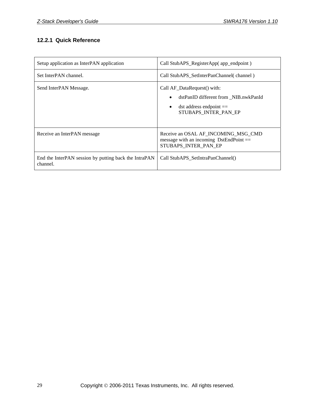# <span id="page-32-0"></span>**12.2.1 Quick Reference**

| Setup application as InterPAN application                         | Call StubAPS_RegisterApp( app_endpoint )                                                                                                             |
|-------------------------------------------------------------------|------------------------------------------------------------------------------------------------------------------------------------------------------|
| Set InterPAN channel.                                             | Call StubAPS SetInterPanChannel (channel)                                                                                                            |
| Send InterPAN Message.                                            | Call AF_DataRequest() with:<br>dstPanID different from NIB.nwkPanId<br>$\bullet$<br>$dst$ address endpoint $==$<br>$\bullet$<br>STUBAPS INTER PAN EP |
| Receive an InterPAN message                                       | Receive an OSAL AF_INCOMING_MSG_CMD<br>message with an incoming $DstEndPoint =$<br>STUBAPS INTER PAN EP                                              |
| End the InterPAN session by putting back the IntraPAN<br>channel. | Call StubAPS SetIntraPanChannel()                                                                                                                    |